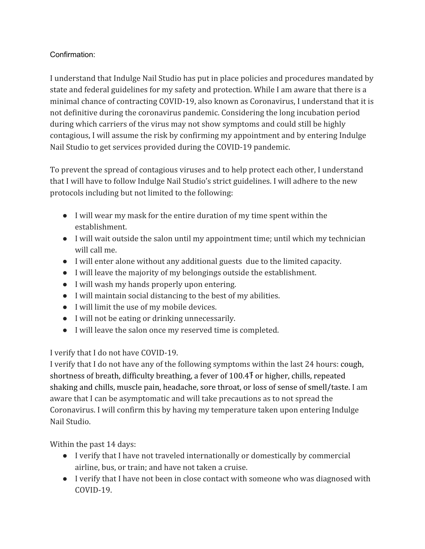## Confirmation:

I understand that Indulge Nail Studio has put in place policies and procedures mandated by state and federal guidelines for my safety and protection. While I am aware that there is a minimal chance of contracting COVID-19, also known as Coronavirus, I understand that it is not definitive during the coronavirus pandemic. Considering the long incubation period during which carriers of the virus may not show symptoms and could still be highly contagious, I will assume the risk by confirming my appointment and by entering Indulge Nail Studio to get services provided during the COVID-19 pandemic.

To prevent the spread of contagious viruses and to help protect each other, I understand that I will have to follow Indulge Nail Studio's strict guidelines. I will adhere to the new protocols including but not limited to the following:

- I will wear my mask for the entire duration of my time spent within the establishment.
- I will wait outside the salon until my appointment time; until which my technician will call me.
- I will enter alone without any additional guests due to the limited capacity.
- I will leave the majority of my belongings outside the establishment.
- I will wash my hands properly upon entering.
- I will maintain social distancing to the best of my abilities.
- I will limit the use of my mobile devices.
- I will not be eating or drinking unnecessarily.
- I will leave the salon once my reserved time is completed.

I verify that I do not have COVID-19.

I verify that I do not have any of the following symptoms within the last 24 hours: cough, shortness of breath, difficulty breathing, a fever of 100.4 T or higher, chills, repeated shaking and chills, muscle pain, headache, sore throat, or loss of sense of smell/taste. I am aware that I can be asymptomatic and will take precautions as to not spread the Coronavirus. I will confirm this by having my temperature taken upon entering Indulge Nail Studio.

Within the past 14 days:

- I verify that I have not traveled internationally or domestically by commercial airline, bus, or train; and have not taken a cruise.
- I verify that I have not been in close contact with someone who was diagnosed with COVID-19.